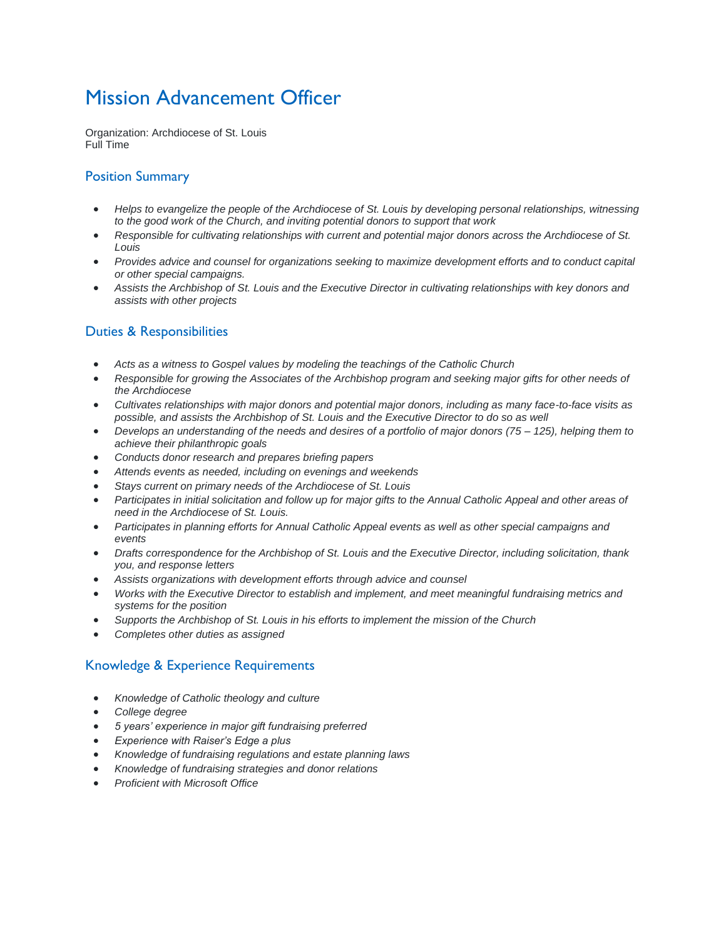# Mission Advancement Officer

Organization: Archdiocese of St. Louis Full Time

## Position Summary

- *Helps to evangelize the people of the Archdiocese of St. Louis by developing personal relationships, witnessing to the good work of the Church, and inviting potential donors to support that work*
- *Responsible for cultivating relationships with current and potential major donors across the Archdiocese of St. Louis*
- *Provides advice and counsel for organizations seeking to maximize development efforts and to conduct capital or other special campaigns.*
- *Assists the Archbishop of St. Louis and the Executive Director in cultivating relationships with key donors and assists with other projects*

# Duties & Responsibilities

- *Acts as a witness to Gospel values by modeling the teachings of the Catholic Church*
- *Responsible for growing the Associates of the Archbishop program and seeking major gifts for other needs of the Archdiocese*
- *Cultivates relationships with major donors and potential major donors, including as many face-to-face visits as possible, and assists the Archbishop of St. Louis and the Executive Director to do so as well*
- *Develops an understanding of the needs and desires of a portfolio of major donors (75 – 125), helping them to achieve their philanthropic goals*
- *Conducts donor research and prepares briefing papers*
- *Attends events as needed, including on evenings and weekends*
- *Stays current on primary needs of the Archdiocese of St. Louis*
- *Participates in initial solicitation and follow up for major gifts to the Annual Catholic Appeal and other areas of need in the Archdiocese of St. Louis.*
- *Participates in planning efforts for Annual Catholic Appeal events as well as other special campaigns and events*
- *Drafts correspondence for the Archbishop of St. Louis and the Executive Director, including solicitation, thank you, and response letters*
- *Assists organizations with development efforts through advice and counsel*
- *Works with the Executive Director to establish and implement, and meet meaningful fundraising metrics and systems for the position*
- *Supports the Archbishop of St. Louis in his efforts to implement the mission of the Church*
- *Completes other duties as assigned*

#### Knowledge & Experience Requirements

- *Knowledge of Catholic theology and culture*
- *College degree*
- *5 years' experience in major gift fundraising preferred*
- *Experience with Raiser's Edge a plus*
- *Knowledge of fundraising regulations and estate planning laws*
- *Knowledge of fundraising strategies and donor relations*
- *Proficient with Microsoft Office*